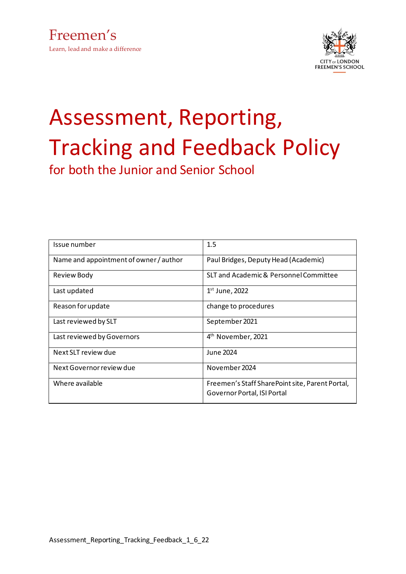

# Assessment, Reporting, Tracking and Feedback Policy for both the Junior and Senior School

| Issue number                           | 1.5                                                                            |
|----------------------------------------|--------------------------------------------------------------------------------|
| Name and appointment of owner / author | Paul Bridges, Deputy Head (Academic)                                           |
| <b>Review Body</b>                     | SLT and Academic & Personnel Committee                                         |
| Last updated                           | $1st$ June, 2022                                                               |
| Reason for update                      | change to procedures                                                           |
| Last reviewed by SLT                   | September 2021                                                                 |
| Last reviewed by Governors             | 4 <sup>th</sup> November, 2021                                                 |
| Next SLT review due                    | June 2024                                                                      |
| Next Governor review due               | November 2024                                                                  |
| Where available                        | Freemen's Staff SharePoint site, Parent Portal,<br>Governor Portal, ISI Portal |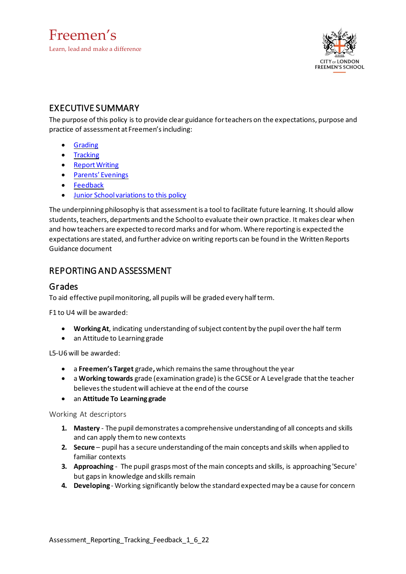

### EXECUTIVE SUMMARY

The purpose ofthis policy is to provide clear guidance forteachers on the expectations, purpose and practice of assessment at Freemen's including:

- [Grading](#page-1-0)
- [Tracking](#page-2-0)
- [ReportWriting](#page-3-0)
- Parents' [Evenings](#page-7-0)
- [Feedback](#page-8-0)
- Junior [Schoolvariations](#page-16-0) to this policy

The underpinning philosophy is that assessmentis a tool to facilitate future learning. It should allow students, teachers, departments and the School to evaluate their own practice. It makes clear when and how teachers are expected to recordmarks and for whom. Where reporting is expected the expectations are stated, and further advice on writing reports can be found in the Written Reports Guidance document

## REPORTING AND ASSESSMENT

#### <span id="page-1-0"></span>Grades

To aid effective pupil monitoring, all pupils will be graded every half term.

F1 to U4 will be awarded:

- **WorkingAt**, indicating understanding ofsubject content by the pupil overthe half term
- an Attitude to Learning grade

L5-U6 will be awarded:

- a **Freemen's Target** grade**,**which remainsthe same throughoutthe year
- a **Working towards** grade (examination grade) is the GCSEor A Levelgrade thatthe teacher believes the student will achieve at the end of the course
- an **Attitude To Learning grade**

Working At descriptors

- **1. Mastery** The pupil demonstrates a comprehensive understanding of all concepts and skills and can apply themto new contexts
- **2. Secure** pupil has a secure understanding ofthe main concepts and skills when applied to familiar contexts
- **3. Approaching** The pupil grasps most of the main concepts and skills, is approaching 'Secure' but gapsin knowledge and skills remain
- **4. Developing** Working significantly below the standard expectedmay be a cause for concern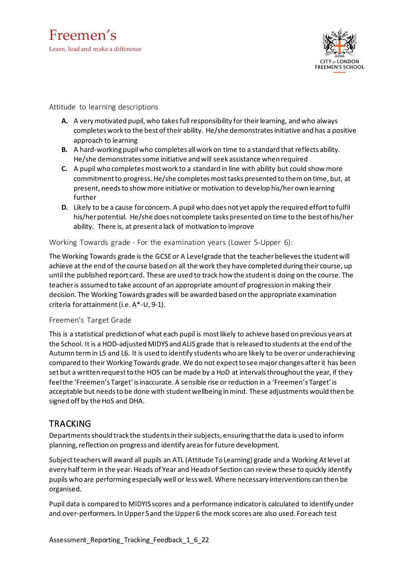

#### Attitude to learning descriptions

- **A.** A verymotivated pupil, who takesfullresponsibility for theirlearning, and who always completes work to the best of their ability. He/she demonstrates initiative and has a positive approach to learning
- **B.** A hard-working pupilwho completes all work on time to a standard that reflects ability. He/she demonstrates some initiative and will seek assistance when required
- **C.** A pupil who completesmostwork to a standard in line with ability but could showmore commitmentto progress. He/she completesmosttasks presented to themon time, but, at present, needsto showmore initiative or motivation to develop his/herown learning further
- **D.** Likely to be a cause for concern. A pupil who does not yet apply the required effortto fulfil his/her potential. He/she does not complete tasks presented on time to the best of his/her ability. There is, at present a lack of motivation to improve

Working Towards grade - For the examination years (Lower 5-Upper 6):

The Working Towards grade is the GCSE or A Level grade that the teacher believes the student will achieve at the end of the course based on all the work they have completed during their course, up until the published report card. These are used to track how the studentis doing on the course. The teacheris assumed to take account of an appropriate amount of progression in making their decision. The Working Towards grades will be awarded based on the appropriate examination criteria for attainment(i.e. A\*-U, 9-1).

#### Freemen's Target Grade

This is a statistical prediction of what each pupil is mostlikely to achieve based on previous years at the School. It is a HOD-adjusted MIDYS andALIS grade that is released to students at the end ofthe Autumn termin L5 and L6. It is used to identify students who are likely to be overor underachieving compared to their Working Towards grade. We do not expectto see major changes afterit has been set but a written request to the HOS can be made by a HoD at intervals throughout the year, if they feelthe 'Freemen's Target' isinaccurate. A sensible rise or reduction in a 'Freemen's Target' is acceptable but needs to be done with student wellbeing in mind. These adjustments would then be signed off by the HoS and DHA.

#### <span id="page-2-0"></span>TRACKING

Departments should track the students in their subjects, ensuring that the data is used to inform planning, reflection on progress and identify areas for future development.

Subject teachers will award all pupils an ATL (Attitude To Learning) grade and a Working At level at every half term in the year. Heads of Year and Heads of Section can review these to quickly identify pupils who are performing especially well or less well. Where necessary interventions can then be organised.

Pupil data is compared to MIDYIS scores and a performance indicatoris calculated to identify under and over-performers. InUpper 5and the Upper 6 the mock scores are also used. Foreach test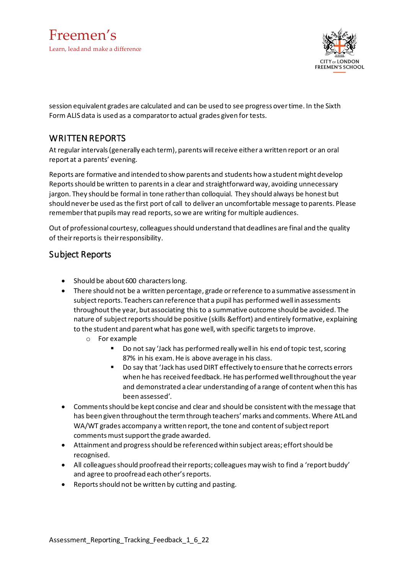

session equivalent grades are calculated and can be used to see progress overtime. In the Sixth Form ALIS data is used as a comparatorto actual grades given for tests.

#### <span id="page-3-0"></span>WRITTEN REPORTS

At regular intervals(generally each term), parents willreceive either a written report or an oral report at a parents' evening.

Reports are formative and intended to show parents and students how a student might develop Reportsshould be written to parentsin a clear and straightforward way, avoiding unnecessary jargon. They should be formal in tone ratherthan colloquial. They should always be honest but should neverbe used as the first port of call to deliver an uncomfortable message to parents. Please remember that pupils may read reports, so we are writing for multiple audiences.

Out of professional courtesy, colleaguesshould understand that deadlines are final and the quality of their reports is their responsibility.

#### Subject Reports

- Should be about 600 characters long.
- There should not be a written percentage, grade or reference to a summative assessment in subject reports. Teachers can reference that a pupil has performed well in assessments throughoutthe year, but associating this to a summative outcome should be avoided. The nature of subject reports should be positive (skills &effort) and entirely formative, explaining to the student and parent what has gone well, with specific targets to improve.
	- o For example
		- Do not say 'Jack has performed really well in his end of topic test, scoring 87% in his exam. He is above average in his class.
		- Do say that 'Jack has used DIRT effectively to ensure that he corrects errors when he has received feedback. He has performed well throughout the year and demonstrated a clear understanding of a range of contentwhen this has been assessed'.
- Commentsshould be kept concise and clear and should be consistent with the message that has been given throughout the term through teachers' marks and comments. Where AtL and WA/WT grades accompany a written report, the tone and content of subject report comments must support the grade awarded.
- Attainment and progressshould be referenced within subject areas; effortshould be recognised.
- All colleagues should proofread their reports; colleagues may wish to find a 'report buddy' and agree to proofread each other's reports.
- Reportsshould not be written by cutting and pasting.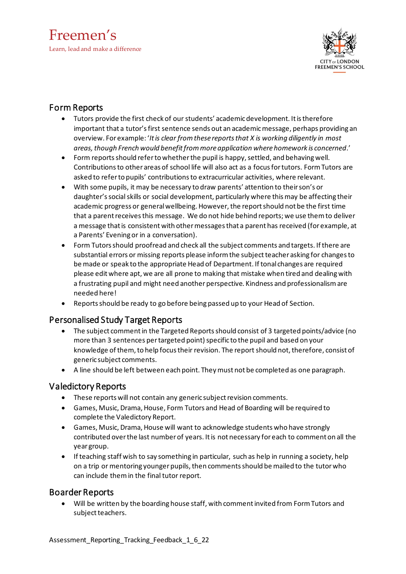## Freemen's Learn, lead and make a difference



## Form Reports

- Tutors provide the first check of our students' academic development. It is therefore important that a tutor's first sentence sends out an academic message, perhaps providing an overview. Forexample: '*Itis clear fromthese reportsthat X is working diligently in most areas,though French would benefitfrommoreapplication where homework is concerned*.'
- Form reports should refer to whether the pupil is happy, settled, and behaving well. Contributionsto other areas of school life will also act as a focusfortutors. FormTutors are asked to referto pupils' contributionsto extracurricular activities, where relevant.
- With some pupils, it may be necessary to draw parents' attention to theirson's or daughter's social skills or social development, particularly where this may be affecting their academic progress or general wellbeing. However, the report should not be the first time that a parent receives this message. We do not hide behind reports; we use them to deliver a message that is consistent with other messages that a parent has received (for example, at a Parents' Evening or in a conversation).
- Form Tutorsshould proofread and check all the subject comments and targets. Ifthere are substantial errors or missing reports please inform the subject teacher asking for changes to be made or speak to the appropriate Head of Department. If tonal changes are required please editwhere apt, we are all prone to making that mistake when tired and dealingwith a frustrating pupil and might need another perspective. Kindness and professionalism are needed here!
- Reports should be ready to go before being passed up to your Head of Section.

#### Personalised Study Target Reports

- The subject comment in the Targeted Reports should consist of 3 targeted points/advice (no more than 3 sentences per targeted point) specific to the pupil and based on your knowledge of them, to help focus their revision. The report should not, therefore, consist of generic subject comments.
- A line should be left between each point. Theymust not be completed as one paragraph.

#### Valedictory Reports

- These reports will not contain any generic subject revision comments.
- Games, Music, Drama, House, Form Tutors and Head of Boarding will be required to complete the Valedictory Report.
- Games, Music, Drama, House will want to acknowledge students who have strongly contributed overthe last numberof years. Itis not necessary foreach to comment on all the year group.
- Ifteaching staff wish to say something in particular, such as help in running a society, help on a trip or mentoring younger pupils, then comments should be mailed to the tutor who can include themin the final tutor report.

#### Boarder Reports

• Will be written by the boarding house staff, with commentinvited from FormTutors and subject teachers.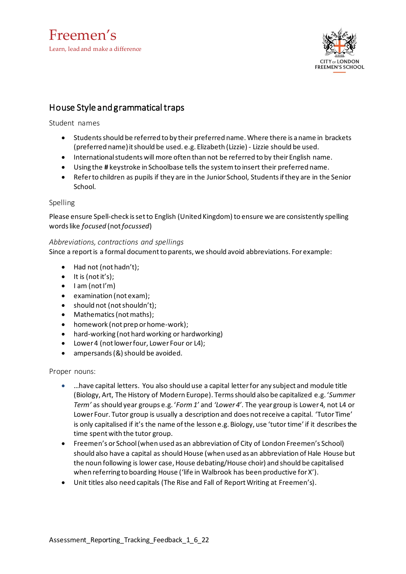

### House Style and grammatical traps

Student names

- Studentsshould be referred to by their preferred name. Where there is aname in brackets (preferred name) it should be used. e.g. Elizabeth (Lizzie) - Lizzie should be used.
- Internationalstudents will more often than not be referred to by theirEnglish name.
- Using the **#** keystroke in Schoolbase tells the systemto insert their preferred name.
- Referto children as pupils if they are in the Junior School, Studentsifthey are in the Senior School.

#### Spelling

Please ensure Spell-check issetto English (United Kingdom) to ensure we are consistently spelling wordslike *focused* (not*focussed*)

#### *Abbreviations, contractions and spellings*

Since a reportis a formal documentto parents, we should avoid abbreviations. Forexample:

- Had not (not hadn't);
- $\bullet$  It is (not it's);
- $\bullet$  I am (not I'm)
- examination (not exam);
- should not (not shouldn't);
- Mathematics (not maths);
- homework (not prep or home-work);
- hard-working (not hard working or hardworking)
- Lower 4 (not lower four, Lower Four or L4);
- $\bullet$  ampersands (&) should be avoided.

#### Proper nouns:

- …have capital letters. You also should use a capital letterfor any subject and module title (Biology, Art, The History of Modern Europe). Termsshould also be capitalized e.g. '*Summer Term'* as should year groups e.g. '*Form1'* and *'Lower 4'*. The year group is Lower4, not L4 or Lower Four. Tutor group is usually a description and does notreceive a capital. 'Tutor Time' is only capitalised if it's the name of the lesson e.g. Biology, use 'tutor time' if it describes the time spent with the tutor group.
- Freemen's or School(when used as an abbreviation of City of London Freemen's School) should also have a capital as should House (when used as an abbreviation of Hale House but the noun following is lower case, House debating/House choir) and should be capitalised when referring to boarding House ('life in Walbrook has been productive for X').
- Unit titles also need capitals (The Rise and Fall of ReportWriting at Freemen's).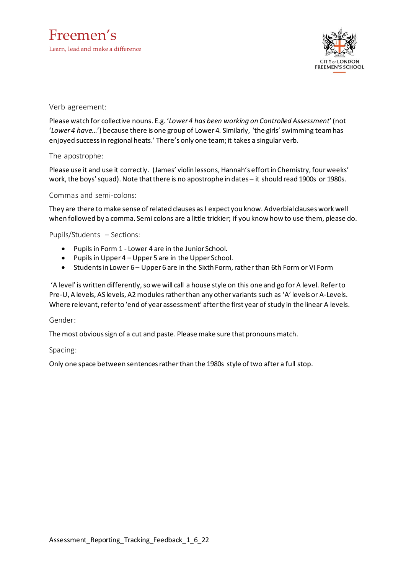Freemen's Learn, lead and make a difference



Verb agreement:

Please watch for collective nouns. E.g. '*Lower 4 has been working on Controlled Assessment*'(not '*Lower 4 have…*') because there is one group of Lower4. Similarly, 'the girls' swimming teamhas enjoyed successin regionalheats.' There's only one team; it takes a singular verb.

The apostrophe:

Please use it and use it correctly. (James' violin lessons, Hannah's effortin Chemistry, fourweeks' work, the boys' squad). Note that there is no apostrophe in dates – it should read 1900s or 1980s.

Commas and semi-colons:

They are there to make sense ofrelated clauses as I expect you know. Adverbialclauses work well when followed by a comma. Semi colons are a little trickier; if you know how to use them, please do.

Pupils/Students – Sections:

- Pupils in Form 1 Lower 4 are in the Junior School.
- Pupils in Upper4 Upper 5 are in the Upper School.
- Students in Lower 6 Upper 6 are in the Sixth Form, rather than 6th Form or VI Form

'A level' is written differently, so we will call a house style on this one and go for A level. Refer to Pre-U, A levels, AS levels, A2 modules rather than any other variants such as 'A' levels or A-Levels. Where relevant, refer to 'end of year assessment' after the first year of study in the linear A levels.

Gender:

The most obvious sign of a cut and paste. Please make sure that pronouns match.

Spacing:

Only one space between sentencesratherthan the 1980s style oftwo after a full stop.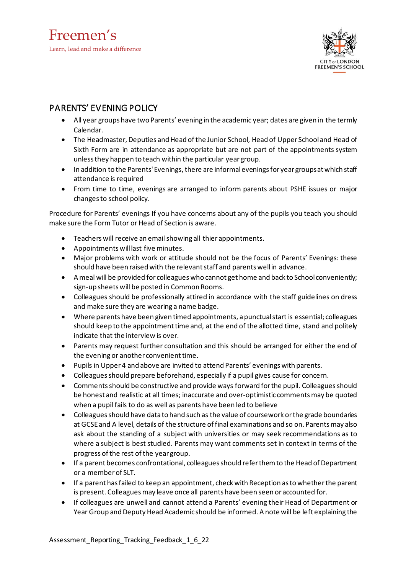

### <span id="page-7-0"></span>PARENTS' EVENING POLICY

- All year groups have two Parents' evening in the academic year; dates are given in the termly Calendar.
- The Headmaster, Deputies and Head of the Junior School, Head of Upper School and Head of Sixth Form are in attendance as appropriate but are not part of the appointments system unlessthey happen to teach within the particular year group.
- In addition to the Parents' Evenings, there are informal evenings for year groups at which staff attendance is required
- From time to time, evenings are arranged to inform parents about PSHE issues or major changesto school policy.

Procedure for Parents' evenings If you have concerns about any of the pupils you teach you should make sure the Form Tutor or Head of Section is aware.

- Teachers will receive an emailshowing all thier appointments.
- Appointments willlast five minutes.
- Major problems with work or attitude should not be the focus of Parents' Evenings: these should have been raised with the relevant staff and parents well in advance.
- Ameal will be provided for colleagues who cannot get home and back to School conveniently; sign-up sheets will be posted in Common Rooms.
- Colleagues should be professionally attired in accordance with the staff guidelines on dress and make sure they are wearing a name badge.
- Where parents have been given timed appointments, apunctualstart is essential; colleagues should keep to the appointment time and, at the end of the allotted time, stand and politely indicate that the interview is over.
- Parents may request further consultation and this should be arranged for either the end of the evening or another convenient time.
- Pupils in Upper4 and above are invited to attend Parents' evenings with parents.
- Colleaguesshould prepare beforehand, especially if a pupil gives cause for concern.
- Comments should be constructive and provide ways forward for the pupil. Colleagues should be honest and realistic at all times; inaccurate and over-optimistic comments may be quoted when a pupil fails to do as well as parents have been led to believe
- Colleaguesshould have data to hand such as the value of coursework orthe grade boundaries at GCSE and A level, details of the structure of final examinations and so on. Parents may also ask about the standing of a subject with universities or may seek recommendations as to where a subject is best studied. Parents may want comments set in context in terms of the progress of the rest of the year group.
- If a parent becomes confrontational, colleagues should refer them to the Head of Department or a memberof SLT.
- If a parent hasfailed to keep an appointment, check with Reception astowhetherthe parent is present. Colleagues may leave once all parents have been seen or accounted for.
- If colleagues are unwell and cannot attend a Parents' evening their Head of Department or Year Group and Deputy Head Academic should be informed. A note will be left explaining the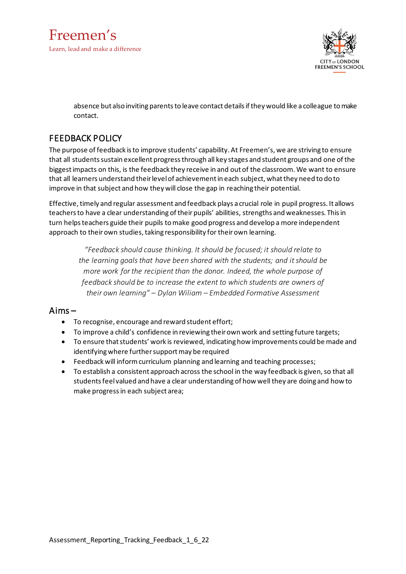



absence but also inviting parents to leave contact details if they would like a colleague to make contact.

### <span id="page-8-0"></span>FEEDBACK POLICY

The purpose of feedback isto improve students' capability. At Freemen's, we are striving to ensure that all students sustain excellent progress through all key stages and student groups and one of the biggestimpacts on this, is the feedback they receive in and out of the classroom. We want to ensure that all learners understand theirlevelof achievementin each subject, whatthey need to do to improve in that subject and how they will close the gap in reaching their potential.

Effective, timely and regular assessment and feedback plays a crucial role in pupil progress. It allows teachers to have a clear understanding of their pupils' abilities, strengths and weaknesses. This in turn helpsteachers guide their pupils tomake good progress and develop a more independent approach to their own studies, taking responsibility for their own learning.

*"Feedback should cause thinking. It should be focused; it should relate to the learning goalsthat have been shared with the students; and itshould be more work forthe recipient than the donor. Indeed, the whole purpose of feedback should be to increase the extent to which students are owners of their own learning" – Dylan Wiliam – Embedded Formative Assessment*

#### Aims –

- To recognise, encourage and reward student effort;
- To improve a child's confidence in reviewing their own work and setting future targets;
- To ensure that students' work is reviewed, indicating how improvements could be made and identifying where further support may be required
- Feedback will inform curriculum planning and learning and teaching processes;
- To establish a consistent approach across the school in the way feedback is given, so that all studentsfeelvalued and have a clear understanding of how well they are doing and how to make progressin each subject area;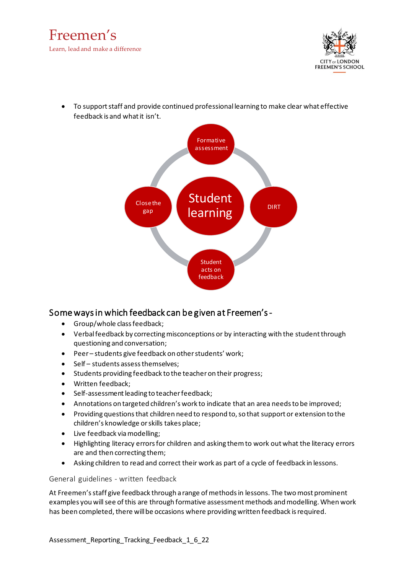



• To supportstaff and provide continued professional learning to make clear what effective feedback is and what it isn't.



#### Some ways in which feedback can be given at Freemen's -

- Group/whole classfeedback;
- Verbal feedback by correcting misconceptions or by interacting with the student through questioning and conversation;
- Peer– students give feedback on otherstudents' work;
- Self students assess themselves;
- Students providing feedback to the teacheron their progress;
- Written feedback;
- Self-assessment leading to teacher feedback;
- Annotations on targeted children's work to indicate that an area needs to be improved;
- Providing questions that children need to respond to, so that support or extension to the children's knowledge orskills takes place;
- Live feedback via modelling;
- Highlighting literacy errors for children and asking them to work out what the literacy errors are and then correcting them;
- Asking children to read and correct their work as part of a cycle of feedback in lessons.

General guidelines - written feedback

At Freemen's staff give feedback through a range of methods in lessons. The two most prominent examples you will see of this are through formative assessment methods and modelling. When work has been completed, there will be occasions where providing written feedback is required.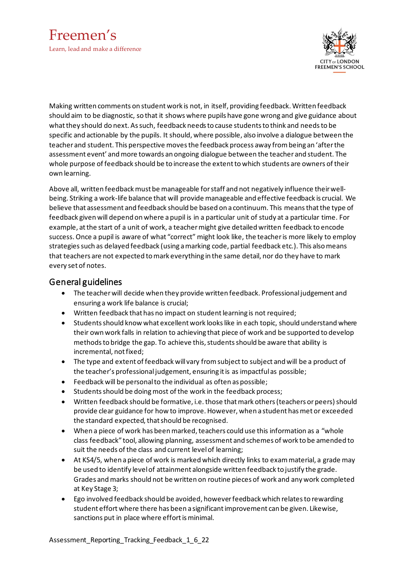



Making written comments on studentwork is not, in itself, providing feedback.Written feedback should aim to be diagnostic, so that it shows where pupils have gone wrong and give guidance about whatthey should do next. Assuch, feedback needsto cause studentsto think and needsto be specific and actionable by the pupils. It should, where possible, also involve a dialogue between the teacher and student. This perspective movesthe feedback process away frombeing an 'afterthe assessment event' andmore towards an ongoing dialogue between the teacher and student. The whole purpose of feedback should be to increase the extenttowhich students are owners oftheir own learning.

Above all, written feedback must be manageable for staff and not negatively influence their wellbeing. Striking a work-life balance that will provide manageable and effective feedback is crucial. We believe that assessment and feedback should be based on a continuum. This meansthatthe type of feedback given will depend on where apupil is in a particular unit of study at a particular time. For example, atthe start of a unit of work, a teachermight give detailed written feedback to encode success. Once a pupil is aware of what "correct" might look like, the teacher is more likely to employ strategiessuch as delayed feedback (using amarking code, partial feedback etc.). This alsomeans that teachers are not expected tomark everything in the same detail, nor do they have to mark every set of notes.

#### General guidelines

- The teacherwill decide when they provide written feedback. Professionaljudgement and ensuring a work life balance is crucial;
- Written feedback that has no impact on student learning is not required;
- Students should know what excellent work looks like in each topic, should understand where their own work falls in relation to achieving that piece of work and be supported to develop methods to bridge the gap. To achieve this, students should be aware that ability is incremental, notfixed;
- The type and extent of feedback will vary from subject to subject and will be a product of the teacher's professional judgement, ensuring it is as impactful as possible;
- Feedback will be personalto the individual as often as possible;
- Students should be doing most of the work in the feedback process;
- Written feedback should be formative, i.e. those that mark others (teachers or peers) should provide clear guidance for how to improve. However, when a student hasmet or exceeded the standard expected, that should be recognised.
- When a piece of work has been marked, teachers could use this information as a "whole class feedback" tool, allowing planning, assessment and schemes of work to be amended to suit the needs of the class and current level of learning;
- At KS4/5, when apiece of work is marked which directly links to exammaterial, a grade may be used to identify levelof attainment alongside written feedback to justify the grade. Grades andmarks should not be written on routine pieces of work and any work completed at Key Stage 3;
- Ego involved feedback should be avoided, however feedback which relates to rewarding student effort where there has been a significant improvement can be given. Likewise, sanctions put in place where effort is minimal.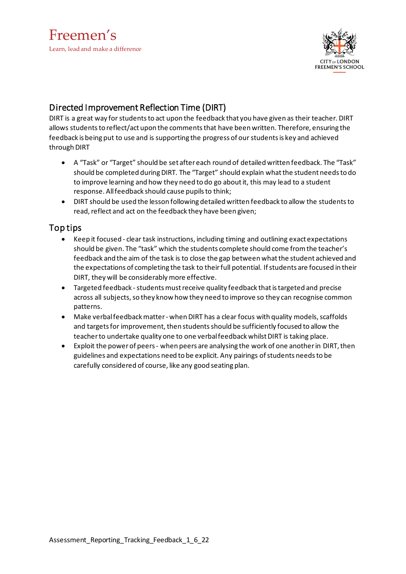

## Directed Improvement Reflection Time (DIRT)

DIRT is a great way for students to act upon the feedback that you have given as their teacher. DIRT allows students to reflect/act upon the comments that have been written. Therefore, ensuring the feedback is being put to use and is supporting the progress of our students is key and achieved through DIRT

- A "Task" or "Target" should be set aftereach round of detailed written feedback. The "Task" should be completed during DIRT. The "Target" should explain what the student needs to do to improve learning and how they need to do go aboutit, this may lead to a student response. Allfeedback should cause pupilsto think;
- DIRT should be used the lesson following detailed written feedback to allow the studentsto read, reflect and act on the feedback they have been given;

#### Top tips

- Keep it focused clear task instructions, including timing and outlining exact expectations should be given. The "task" which the students complete should come fromthe teacher's feedback and the aim of the task is to close the gap between whatthe student achieved and the expectations of completing the task to their full potential. If students are focused in their DIRT, they will be considerably more effective.
- Targeted feedback students must receive quality feedback that is targeted and precise across all subjects, so they know how they need to improve so they can recognise common patterns.
- Make verbal feedback matter when DIRT has a clear focus with quality models, scaffolds and targets for improvement, then students should be sufficiently focused to allow the teacherto undertake quality one to one verbalfeedback whilstDIRT is taking place.
- Exploit the power of peers when peers are analysing the work of one another in DIRT, then guidelines and expectations need to be explicit. Any pairings of students needs to be carefully considered of course, like any good seating plan.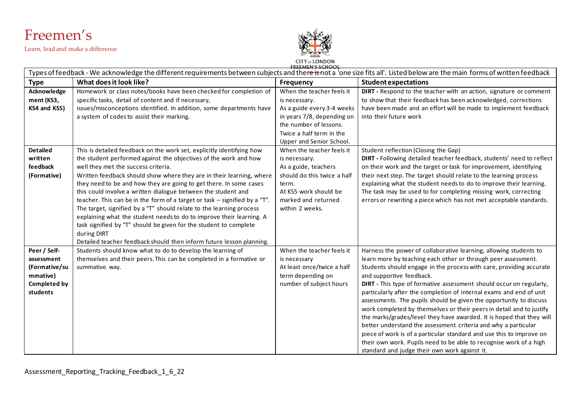

Learn, lead and make a difference



**CITY of LONDON**<br>**EREEMEN'S SCHOOL** 

| Types of feedback - We acknowledge the different requirements between subjects and thereisnot a 'one size fits all'. Listed below are the main forms of written feedback |                                                                                                                                                                                                                                                                                                                                                                                                                                                                                                                                                                                                                                                                                                                                                                                           |                                                                                                                                                                               |                                                                                                                                                                                                                                                                                                                                                                                                                                                                                                                                                                                                                                                                                                                                                                                                                                                                            |  |
|--------------------------------------------------------------------------------------------------------------------------------------------------------------------------|-------------------------------------------------------------------------------------------------------------------------------------------------------------------------------------------------------------------------------------------------------------------------------------------------------------------------------------------------------------------------------------------------------------------------------------------------------------------------------------------------------------------------------------------------------------------------------------------------------------------------------------------------------------------------------------------------------------------------------------------------------------------------------------------|-------------------------------------------------------------------------------------------------------------------------------------------------------------------------------|----------------------------------------------------------------------------------------------------------------------------------------------------------------------------------------------------------------------------------------------------------------------------------------------------------------------------------------------------------------------------------------------------------------------------------------------------------------------------------------------------------------------------------------------------------------------------------------------------------------------------------------------------------------------------------------------------------------------------------------------------------------------------------------------------------------------------------------------------------------------------|--|
| <b>Type</b>                                                                                                                                                              | What does it look like?                                                                                                                                                                                                                                                                                                                                                                                                                                                                                                                                                                                                                                                                                                                                                                   | <b>Frequency</b>                                                                                                                                                              | <b>Student expectations</b>                                                                                                                                                                                                                                                                                                                                                                                                                                                                                                                                                                                                                                                                                                                                                                                                                                                |  |
| Acknowledge<br>ment (KS3,                                                                                                                                                | Homework or class notes/books have been checked for completion of<br>specific tasks, detail of content and if necessary,                                                                                                                                                                                                                                                                                                                                                                                                                                                                                                                                                                                                                                                                  | When the teacher feels it<br>is necessary.                                                                                                                                    | DIRT - Respond to the teacher with an action, signature or comment<br>to show that their feedback has been acknowledged, corrections                                                                                                                                                                                                                                                                                                                                                                                                                                                                                                                                                                                                                                                                                                                                       |  |
| KS4 and KS5)                                                                                                                                                             | issues/misconceptions identified. In addition, some departments have<br>a system of codes to assist their marking.                                                                                                                                                                                                                                                                                                                                                                                                                                                                                                                                                                                                                                                                        | As a guide every 3-4 weeks<br>in years 7/8, depending on<br>the number of lessons.<br>Twice a half term in the<br>Upper and Senior School.                                    | have been made and an effort will be made to implement feedback<br>into their future work                                                                                                                                                                                                                                                                                                                                                                                                                                                                                                                                                                                                                                                                                                                                                                                  |  |
| <b>Detailed</b><br>written<br>feedback<br>(Formative)                                                                                                                    | This is detailed feedback on the work set, explicitly identifying how<br>the student performed against the objectives of the work and how<br>well they met the success criteria.<br>Written feedback should show where they are in their learning, where<br>they need to be and how they are going to get there. In some cases<br>this could involve a written dialogue between the student and<br>teacher. This can be in the form of a target or task - signified by a "T".<br>The target, signified by a "T" should relate to the learning process<br>explaining what the student needs to do to improve their learning. A<br>task signified by "T" should be given for the student to complete<br>during DIRT<br>Detailed teacher feedback should then inform future lesson planning. | When the teacher feels it<br>is necessary.<br>As a guide, teachers<br>should do this twice a half<br>term.<br>At KS5 work should be<br>marked and returned<br>within 2 weeks. | Student reflection (Closing the Gap)<br>DIRT - Following detailed teacher feedback, students' need to reflect<br>on their work and the target or task for improvement, identifying<br>their next step. The target should relate to the learning process<br>explaining what the student needs to do to improve their learning.<br>The task may be used to for completing missing work, correcting<br>errors or rewriting a piece which has not met acceptable standards.                                                                                                                                                                                                                                                                                                                                                                                                    |  |
| Peer / Self-<br>assessment<br>(Formative/su<br>mmative)<br><b>Completed by</b><br>students                                                                               | Students should know what to do to develop the learning of<br>themselves and their peers. This can be completed in a formative or<br>summative way.                                                                                                                                                                                                                                                                                                                                                                                                                                                                                                                                                                                                                                       | When the teacher feels it<br>is necessary<br>At least once/twice a half<br>term depending on<br>number of subject hours                                                       | Harness the power of collaborative learning, allowing students to<br>learn more by teaching each other or through peer assessment.<br>Students should engage in the process with care, providing accurate<br>and supportive feedback.<br>DIRT - This type of formative assessment should occur on regularly,<br>particularly after the completion of internal exams and end of unit<br>assessments. The pupils should be given the opportunity to discuss<br>work completed by themselves or their peers in detail and to justify<br>the marks/grades/level they have awarded. It is hoped that they will<br>better understand the assessment criteria and why a particular<br>piece of work is of a particular standard and use this to improve on<br>their own work. Pupils need to be able to recognise work of a high<br>standard and judge their own work against it. |  |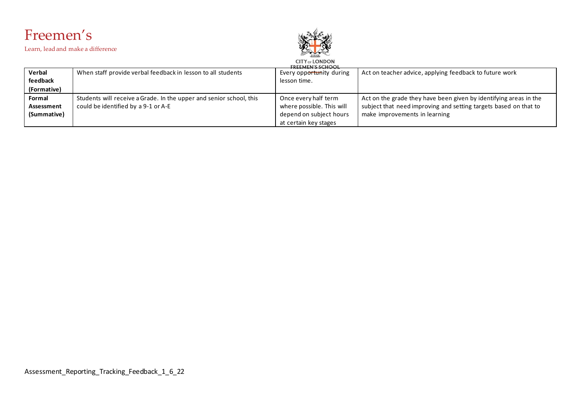

Learn, lead and make a difference



#### **CITY OF LONDON Verbal** When staff provide verbal feedback in lesson to all students Every opportunity during Act on teacher advice, applying feedback to future work **feedback** lesson time. **(Formative) Formal** Students will receive aGrade. In the upper and senior school, this Once every half term Act on the grade they have been given by identifying areas in the **Assessment** could be identified by a 9-1 or A-E where possible. This will subject that need improving and setting targets based on that to **(Summative)** depend on subject hours make improvements in learningat certain key stages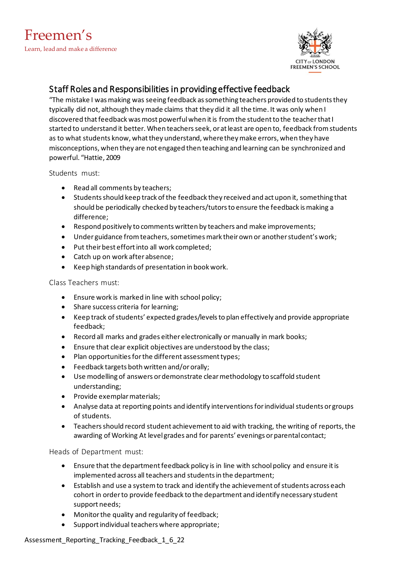

## Staff Roles and Responsibilities in providing effective feedback

"The mistake I was making was seeing feedback as something teachers provided to students they typically did not, although theymade claims that they did it all the time. It was only when I discovered that feedback was most powerful when it is from the student to the teacher that I started to understand it better. When teachers seek, or at least are open to, feedback from students as to what students know, what they understand, where they make errors, when they have misconceptions, when they are not engaged then teaching and learning can be synchronized and powerful. "Hattie, 2009

Students must:

- Read all comments by teachers;
- Studentsshould keep track ofthe feedback they received and act upon it, something that should be periodically checked by teachers/tutorsto ensure the feedback ismaking a difference;
- Respond positively to comments written by teachers and make improvements;
- Under guidance from teachers, sometimes mark their own or another student's work;
- Put their best effort into all work completed;
- Catch up on work after absence;
- Keep high standards of presentation in book work.

Class Teachers must:

- Ensure work is marked in line with school policy;
- Share success criteria for learning;
- Keep track of students' expected grades/levels to plan effectively and provide appropriate feedback;
- Record all marks and grades either electronically or manually in mark books;
- Ensure that clear explicit objectives are understood by the class;
- Plan opportunities for the different assessment types;
- Feedback targets both written and/ororally;
- Use modelling of answers ordemonstrate clearmethodology to scaffold student understanding;
- Provide exemplarmaterials;
- Analyse data at reporting points and identify interventions for individual students or groups of students.
- Teachers should record student achievement to aid with tracking, the writing of reports, the awarding of Working At level grades and for parents' evenings or parental contact;

Heads of Department must:

- Ensure that the department feedback policy is in line with school policy and ensure it is implemented across all teachers and students in the department;
- Establish and use a system to track and identify the achievement of students across each cohort in orderto provide feedback to the department and identify necessary student support needs;
- Monitorthe quality and regularity of feedback;
- Support individual teachers where appropriate;

Assessment\_Reporting\_Tracking\_Feedback\_1\_6\_22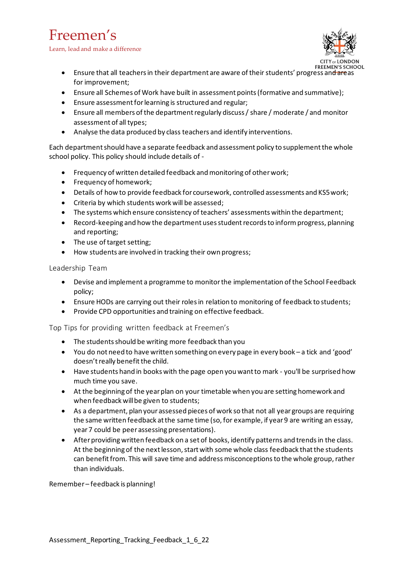## Freemen's

Learn, lead and make a difference



- Ensure that all teachers in their department are aware of their students' progress and areas for improvement;
- Ensure all Schemes of Work have built in assessment points (formative and summative);
- Ensure assessment for learning is structured and regular;
- Ensure all members of the department regularly discuss / share / moderate / and monitor assessment of all types;
- Analyse the data produced by class teachers and identify interventions.

Each departmentshould have a separate feedback and assessment policy to supplementthe whole school policy. This policy should include details of -

- Frequency of written detailed feedback and monitoring of other work;
- Frequency of homework;
- Details of how to provide feedback for coursework, controlled assessments and KS5work;
- Criteria by which students work will be assessed;
- The systems which ensure consistency of teachers' assessments within the department;
- Record-keeping and how the department uses student records to inform progress, planning and reporting;
- The use of target setting;
- How students are involved in tracking their own progress;

Leadership Team

- Devise and implement a programme to monitorthe implementation ofthe School Feedback policy;
- Ensure HODs are carrying out their roles in relation to monitoring of feedback to students;
- Provide CPD opportunities and training on effective feedback.

Top Tips for providing written feedback at Freemen's

- The students should be writing more feedback than you
- You do not need to have written something on every page in every book a tick and 'good' doesn't really benefit the child.
- Have students hand in books with the page open you wantto mark you'll be surprised how much time you save.
- At the beginning of the yearplan on your timetable when you are setting homework and when feedback will be given to students;
- As a department, plan your assessed pieces of work so that not all year groups are requiring the same written feedback atthe same time (so, for example, if year9 are writing an essay, year7 could be peer assessing presentations).
- After providing written feedback on a set of books, identify patterns and trends in the class. At the beginning of the next lesson, start with some whole class feedback that the students can benefit from. This will save time and address misconceptions to the whole group, rather than individuals.

Remember – feedback is planning!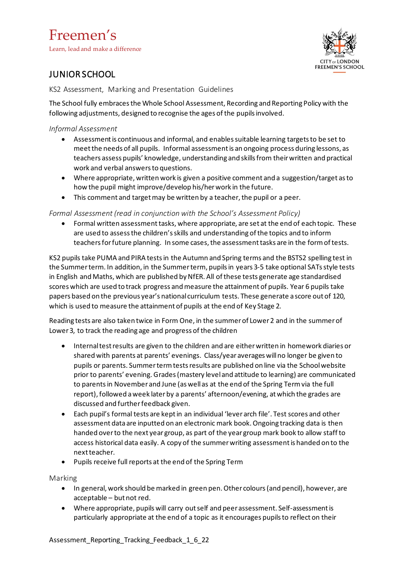## Freemen's

Learn, lead and make a difference



## <span id="page-16-0"></span>JUNIOR SCHOOL

KS2 Assessment, Marking and Presentation Guidelines

The School fully embracesthe Whole School Assessment, Recording and Reporting Policy with the following adjustments, designed to recognise the ages of the pupils involved.

#### *Informal Assessment*

- Assessment is continuous and informal, and enables suitable learning targets to be set to meetthe needs of all pupils. Informal assessmentis an ongoing process during lessons, as teachers assess pupils' knowledge, understanding and skillsfrom theirwritten and practical work and verbal answersto questions.
- Where appropriate, written work is given a positive comment and a suggestion/target asto how the pupil might improve/develop his/her work in the future.
- This comment and target may be written by a teacher, the pupil or a peer.

#### *Formal Assessment (read in conjunction with the School's Assessment Policy)*

• Formal written assessmenttasks, where appropriate, are set at the end of each topic. These are used to assessthe children'sskills and understanding ofthe topics and to inform teachers for future planning. In some cases, the assessment tasks are in the form of tests.

KS2 pupils take PUMA and PIRA testsin the Autumn and Spring terms and the BSTS2 spelling test in the Summerterm. In addition, in the Summerterm, pupilsin years 3-5 take optional SATsstyle tests in English and Maths, which are published by NfER. All of these tests generate age standardised scores which are used to track progress and measure the attainment of pupils. Year 6 pupils take papers based on the previous year's national curriculum tests. These generate a score out of 120, which is used to measure the attainment of pupils at the end of Key Stage 2.

Reading tests are also taken twice in Form One, in the summerof Lower2 and in the summerof Lower 3, to track the reading age and progress of the children

- Internaltestresults are given to the children and are eitherwritten in homework diaries or shared with parents at parents' evenings. Class/year averages willno longer be given to pupils or parents. Summertermtestsresults are published on line via the Schoolwebsite prior to parents' evening. Grades(mastery leveland attitude to learning) are communicated to parentsin November and June (as wellas at the end of the Spring Termvia the full report), followed aweek laterby a parents' afternoon/evening, atwhich the grades are discussed and furtherfeedback given.
- Each pupil's formal tests are keptin an individual 'lever arch file'. Test scores and other assessment data are inputted on an electronic mark book.Ongoing tracking data is then handed overto the next year group, as part of the year group mark book to allow staff to access historical data easily. A copy of the summer writing assessment is handed on to the next teacher.
- Pupils receive full reports at the end of the Spring Term

Marking

- In general, work should be marked in green pen.Other colours(and pencil), however, are acceptable – butnot red.
- Where appropriate, pupils will carry outself and peer assessment. Self-assessmentis particularly appropriate at the end of a topic as it encourages pupilsto reflect on their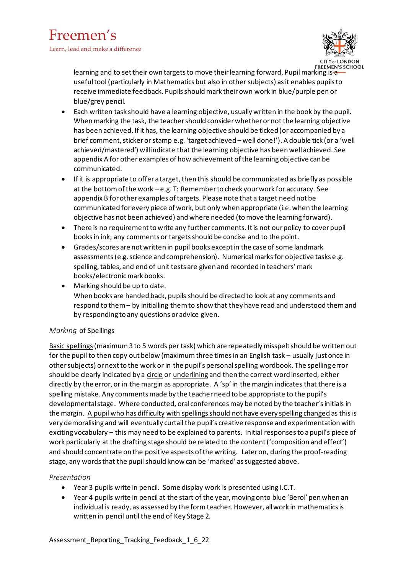

learning and to set their own targets to move their learning forward. Pupil marking is a usefultool (particularly in Mathematics but also in othersubjects) asit enables pupilsto receive immediate feedback. Pupilsshouldmark theirown work in blue/purple pen or blue/grey pencil.

- Each written task should have a learning objective, usually written in the book by the pupil. When marking the task, the teacher should consider whether or not the learning objective has been achieved. If ithas, the learning objective should be ticked (or accompanied by a brief comment, sticker or stamp e.g. 'target achieved – well done!'). A double tick (or a 'well achieved/mastered') willindicate that the learning objective has been wellachieved. See appendix A for other examples of how achievement of the learning objective can be communicated.
- If it is appropriate to offer a target, then this should be communicated as briefly as possible at the bottom of the work – e.g. T: Remember to check your work for accuracy. See appendix B for other examples of targets. Please note that a target need not be communicated forevery piece of work, but only when appropriate (i.e. when the learning objective has not been achieved) and where needed (tomove the learning forward).
- There is no requirement to write any further comments. It is not our policy to cover pupil booksin ink; any comments or targetsshould be concise and to the point.
- Grades/scores are notwritten in pupil books exceptin the case of some landmark assessments (e.g. science and comprehension). Numerical marks for objective tasks e.g. spelling, tables, and end of unit tests are given and recorded in teachers' mark books/electronicmark books.
- Marking should be up to date. When books are handed back, pupils should be directed to look at any comments and respond to them– by initialling themto show that they have read and understood themand by responding to any questions oradvice given.

#### *Marking* of Spellings

Basic spellings (maximum 3 to 5 words per task) which are repeatedly misspelt should be written out for the pupil to then copy out below (maximumthree timesin an English task – usually just once in othersubjects) ornextto the work or in the pupil's personalspelling wordbook. The spelling error should be clearly indicated by a circle or underlining and then the correct word inserted, either directly by the error, or in the margin as appropriate. A 'sp' in the margin indicates that there is a spelling mistake. Any comments made by the teacher need to be appropriate to the pupil's developmental stage. Where conducted, oral conferences may be noted by the teacher's initials in the margin. A pupil who has difficulty with spellings should not have every spelling changed as this is very demoralising and will eventually curtail the pupil's creative response and experimentation with exciting vocabulary – this may need to be explained to parents. Initial responses to a pupil's piece of work particularly at the drafting stage should be related to the content('composition and effect') and should concentrate on the positive aspects ofthe writing. Lateron, during the proof-reading stage, any words that the pupil should know can be 'marked' as suggested above.

#### *Presentation*

- Year 3 pupils write in pencil. Some display work is presented using I.C.T.
- Year 4 pupils write in pencil at the start of the year, moving onto blue 'Berol' pen when an individual is ready, as assessed by the formteacher. However, allwork in mathematicsis written in pencil until the end of Key Stage 2.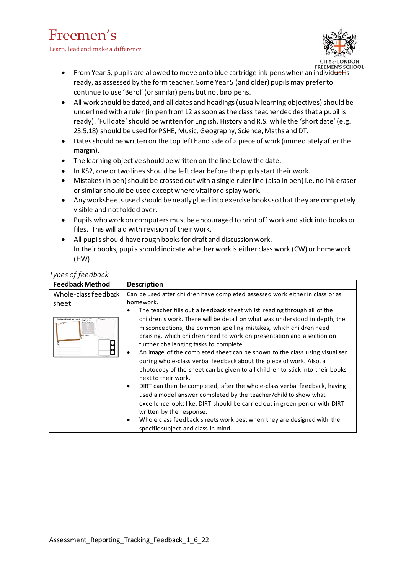## Freemen's

Learn, lead and make a difference



- From Year 5, pupils are allowed to move onto blue cartridge ink pens when an individual is ready, as assessed by the formteacher. Some Year5 (and older) pupils may preferto continue to use 'Berol' (orsimilar) pens but not biro pens.
- All work should be dated, and all dates and headings (usually learning objectives) should be underlined with a ruler (in pen from L2 as soon as the class teacherdecidesthat a pupil is ready). 'Fulldate'should be written for English, History and R.S. while the 'short date' (e.g. 23.5.18) should be used for PSHE, Music, Geography, Science, Maths and DT.
- Datesshould be written on the top left hand side of a piece of work (immediately afterthe margin).
- The learning objective should be written on the line below the date.
- In KS2, one or two lines should be left clear before the pupils start their work.
- Mistakes (in pen) should be crossed out with a single ruler line (also in pen) i.e. no ink eraser orsimilar should be used exceptwhere vitalfordisplay work.
- Any worksheets used should be neatly glued into exercise booksso that they are completely visible and notfolded over.
- Pupils who work on computers must be encouraged to print off work and stick into books or files. This will aid with revision of their work.
- All pupils should have rough books for draft and discussion work. In their books, pupils should indicate whether work is either class work (CW) or homework (HW).

| Types of feedback |  |
|-------------------|--|
|-------------------|--|

| <b>Feedback Method</b>           | <b>Description</b>                                                                                                                                                                                                                                                                                                                                                                                                                                                                               |  |
|----------------------------------|--------------------------------------------------------------------------------------------------------------------------------------------------------------------------------------------------------------------------------------------------------------------------------------------------------------------------------------------------------------------------------------------------------------------------------------------------------------------------------------------------|--|
| Whole-class feedback             | Can be used after children have completed assessed work either in class or as                                                                                                                                                                                                                                                                                                                                                                                                                    |  |
| sheet                            | homework.                                                                                                                                                                                                                                                                                                                                                                                                                                                                                        |  |
|                                  | The teacher fills out a feedback sheet whilst reading through all of the<br>٠                                                                                                                                                                                                                                                                                                                                                                                                                    |  |
| $\leftarrow$<br>and An Ashand or | children's work. There will be detail on what was understood in depth, the<br>misconceptions, the common spelling mistakes, which children need<br>praising, which children need to work on presentation and a section on<br>further challenging tasks to complete.<br>An image of the completed sheet can be shown to the class using visualiser<br>٠<br>during whole-class verbal feedback about the piece of work. Also, a                                                                    |  |
|                                  | photocopy of the sheet can be given to all children to stick into their books<br>next to their work.<br>DIRT can then be completed, after the whole-class verbal feedback, having<br>$\bullet$<br>used a model answer completed by the teacher/child to show what<br>excellence looks like. DIRT should be carried out in green pen or with DIRT<br>written by the response.<br>Whole class feedback sheets work best when they are designed with the<br>٠<br>specific subject and class in mind |  |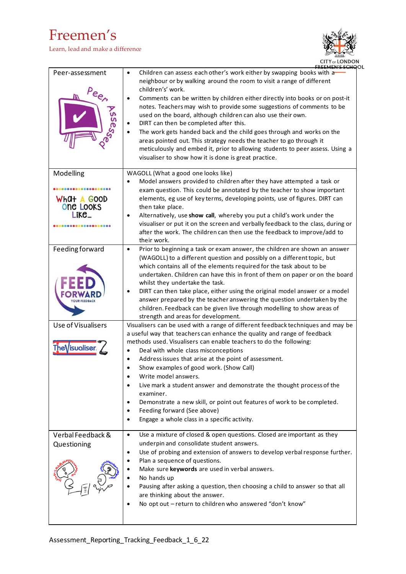## Freemen's

Learn, lead and make a difference



| Peer-assessment<br>$Pe_{e}$                                              | Children can assess each other's work either by swapping books with a<br>$\bullet$<br>neighbour or by walking around the room to visit a range of different<br>children's' work.<br>Comments can be written by children either directly into books or on post-it<br>$\bullet$<br>notes. Teachers may wish to provide some suggestions of comments to be<br>used on the board, although children can also use their own.<br>DIRT can then be completed after this.<br>The work gets handed back and the child goes through and works on the<br>$\bullet$<br>areas pointed out. This strategy needs the teacher to go through it<br>meticulously and embed it, prior to allowing students to peer assess. Using a<br>visualiser to show how it is done is great practice. |
|--------------------------------------------------------------------------|-------------------------------------------------------------------------------------------------------------------------------------------------------------------------------------------------------------------------------------------------------------------------------------------------------------------------------------------------------------------------------------------------------------------------------------------------------------------------------------------------------------------------------------------------------------------------------------------------------------------------------------------------------------------------------------------------------------------------------------------------------------------------|
| Modelling<br><b>888088888</b><br>What A Good<br><b>One Looks</b><br>Like | WAGOLL (What a good one looks like)<br>Model answers provided to children after they have attempted a task or<br>٠<br>exam question. This could be annotated by the teacher to show important<br>elements, eg use of key terms, developing points, use of figures. DIRT can<br>then take place.<br>Alternatively, use show call, whereby you put a child's work under the<br>$\bullet$<br>visualiser or put it on the screen and verbally feedback to the class, during or<br>after the work. The children can then use the feedback to improve/add to<br>their work.                                                                                                                                                                                                   |
| Feeding forward                                                          | Prior to beginning a task or exam answer, the children are shown an answer<br>$\bullet$<br>(WAGOLL) to a different question and possibly on a different topic, but<br>which contains all of the elements required for the task about to be<br>undertaken. Children can have this in front of them on paper or on the board<br>whilst they undertake the task.<br>DIRT can then take place, either using the original model answer or a model<br>٠<br>answer prepared by the teacher answering the question undertaken by the<br>children. Feedback can be given live through modelling to show areas of<br>strength and areas for development.                                                                                                                          |
| Use of Visualisers<br>The\/isualiseı                                     | Visualisers can be used with a range of different feedback techniques and may be<br>a useful way that teachers can enhance the quality and range of feedback<br>methods used. Visualisers can enable teachers to do the following:<br>Deal with whole class misconceptions<br>$\bullet$<br>Address issues that arise at the point of assessment.<br>$\bullet$<br>Show examples of good work. (Show Call)<br>$\bullet$<br>Write model answers.<br>٠<br>Live mark a student answer and demonstrate the thought process of the<br>examiner.<br>Demonstrate a new skill, or point out features of work to be completed.<br>٠<br>Feeding forward (See above)<br>Engage a whole class in a specific activity.<br>٠                                                            |
| Verbal Feedback &<br>Questioning                                         | Use a mixture of closed & open questions. Closed are important as they<br>$\bullet$<br>underpin and consolidate student answers.<br>Use of probing and extension of answers to develop verbal response further.<br>$\bullet$<br>Plan a sequence of questions.<br>٠<br>Make sure keywords are used in verbal answers.<br>No hands up<br>$\bullet$<br>Pausing after asking a question, then choosing a child to answer so that all<br>are thinking about the answer.<br>No opt out - return to children who answered "don't know"                                                                                                                                                                                                                                         |